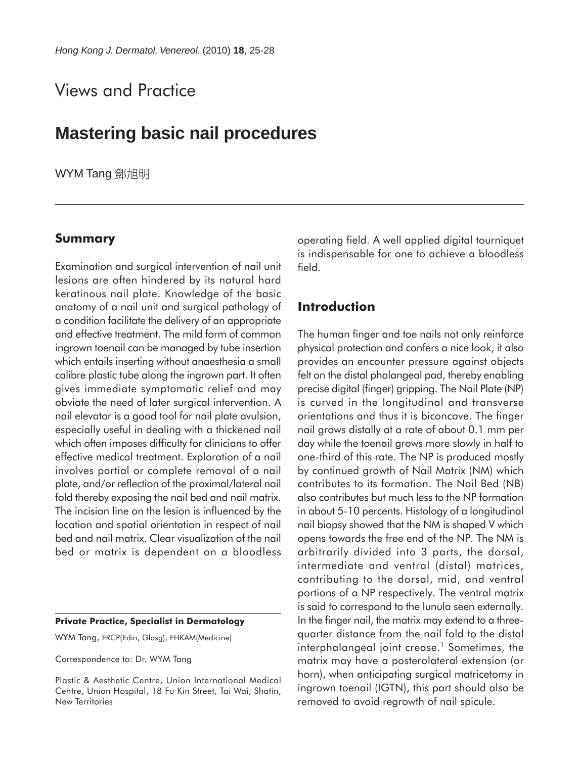# Views and Practice

## **Mastering basic nail procedures**

WYM Tang 鄧旭明

## **Summary**

Examination and surgical intervention of nail unit lesions are often hindered by its natural hard keratinous nail plate. Knowledge of the basic anatomy of a nail unit and surgical pathology of a condition facilitate the delivery of an appropriate and effective treatment. The mild form of common ingrown toenail can be managed by tube insertion which entails inserting without anaesthesia a small calibre plastic tube along the ingrown part. It often gives immediate symptomatic relief and may obviate the need of later surgical intervention. A nail elevator is a good tool for nail plate avulsion, especially useful in dealing with a thickened nail which often imposes difficulty for clinicians to offer effective medical treatment. Exploration of a nail involves partial or complete removal of a nail plate, and/or reflection of the proximal/lateral nail fold thereby exposing the nail bed and nail matrix. The incision line on the lesion is influenced by the location and spatial orientation in respect of nail bed and nail matrix. Clear visualization of the nail bed or matrix is dependent on a bloodless

#### **Private Practice, Specialist in Dermatology**

WYM Tang, FRCP(Edin, Glasg), FHKAM(Medicine)

Correspondence to: Dr. WYM Tang

Plastic & Aesthetic Centre, Union International Medical Centre, Union Hospital, 18 Fu Kin Street, Tai Wai, Shatin, New Territories

operating field. A well applied digital tourniquet is indispensable for one to achieve a bloodless field.

### **Introduction**

The human finger and toe nails not only reinforce physical protection and confers a nice look, it also provides an encounter pressure against objects felt on the distal phalangeal pad, thereby enabling precise digital (finger) gripping. The Nail Plate (NP) is curved in the longitudinal and transverse orientations and thus it is biconcave. The finger nail grows distally at a rate of about 0.1 mm per day while the toenail grows more slowly in half to one-third of this rate. The NP is produced mostly by continued growth of Nail Matrix (NM) which contributes to its formation. The Nail Bed (NB) also contributes but much less to the NP formation in about 5-10 percents. Histology of a longitudinal nail biopsy showed that the NM is shaped V which opens towards the free end of the NP. The NM is arbitrarily divided into 3 parts, the dorsal, intermediate and ventral (distal) matrices, contributing to the dorsal, mid, and ventral portions of a NP respectively. The ventral matrix is said to correspond to the lunula seen externally. In the finger nail, the matrix may extend to a threequarter distance from the nail fold to the distal interphalangeal joint crease.<sup>1</sup> Sometimes, the matrix may have a posterolateral extension (or horn), when anticipating surgical matricetomy in ingrown toenail (IGTN), this part should also be removed to avoid regrowth of nail spicule.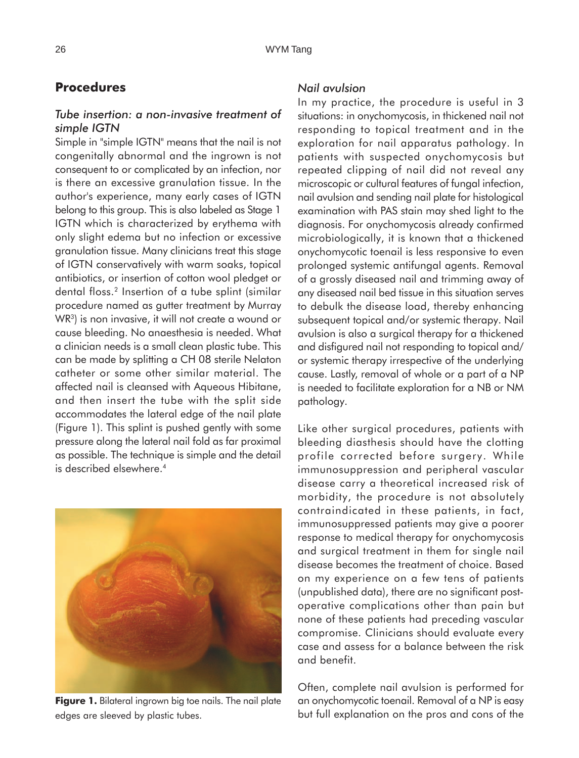## **Procedures**

#### *Tube insertion: a non-invasive treatment of simple IGTN*

Simple in "simple IGTN" means that the nail is not congenitally abnormal and the ingrown is not consequent to or complicated by an infection, nor is there an excessive granulation tissue. In the author's experience, many early cases of IGTN belong to this group. This is also labeled as Stage 1 IGTN which is characterized by erythema with only slight edema but no infection or excessive granulation tissue. Many clinicians treat this stage of IGTN conservatively with warm soaks, topical antibiotics, or insertion of cotton wool pledget or dental floss.2 Insertion of a tube splint (similar procedure named as gutter treatment by Murray WR<sup>3</sup>) is non invasive, it will not create a wound or cause bleeding. No anaesthesia is needed. What a clinician needs is a small clean plastic tube. This can be made by splitting a CH 08 sterile Nelaton catheter or some other similar material. The affected nail is cleansed with Aqueous Hibitane, and then insert the tube with the split side accommodates the lateral edge of the nail plate (Figure 1). This splint is pushed gently with some pressure along the lateral nail fold as far proximal as possible. The technique is simple and the detail is described elsewhere.4



**Figure 1.** Bilateral ingrown big toe nails. The nail plate edges are sleeved by plastic tubes.

#### *Nail avulsion*

In my practice, the procedure is useful in 3 situations: in onychomycosis, in thickened nail not responding to topical treatment and in the exploration for nail apparatus pathology. In patients with suspected onychomycosis but repeated clipping of nail did not reveal any microscopic or cultural features of fungal infection, nail avulsion and sending nail plate for histological examination with PAS stain may shed light to the diagnosis. For onychomycosis already confirmed microbiologically, it is known that a thickened onychomycotic toenail is less responsive to even prolonged systemic antifungal agents. Removal of a grossly diseased nail and trimming away of any diseased nail bed tissue in this situation serves to debulk the disease load, thereby enhancing subsequent topical and/or systemic therapy. Nail avulsion is also a surgical therapy for a thickened and disfigured nail not responding to topical and/ or systemic therapy irrespective of the underlying cause. Lastly, removal of whole or a part of a NP is needed to facilitate exploration for a NB or NM pathology.

Like other surgical procedures, patients with bleeding diasthesis should have the clotting profile corrected before surgery. While immunosuppression and peripheral vascular disease carry a theoretical increased risk of morbidity, the procedure is not absolutely contraindicated in these patients, in fact, immunosuppressed patients may give a poorer response to medical therapy for onychomycosis and surgical treatment in them for single nail disease becomes the treatment of choice. Based on my experience on a few tens of patients (unpublished data), there are no significant postoperative complications other than pain but none of these patients had preceding vascular compromise. Clinicians should evaluate every case and assess for a balance between the risk and benefit.

Often, complete nail avulsion is performed for an onychomycotic toenail. Removal of a NP is easy but full explanation on the pros and cons of the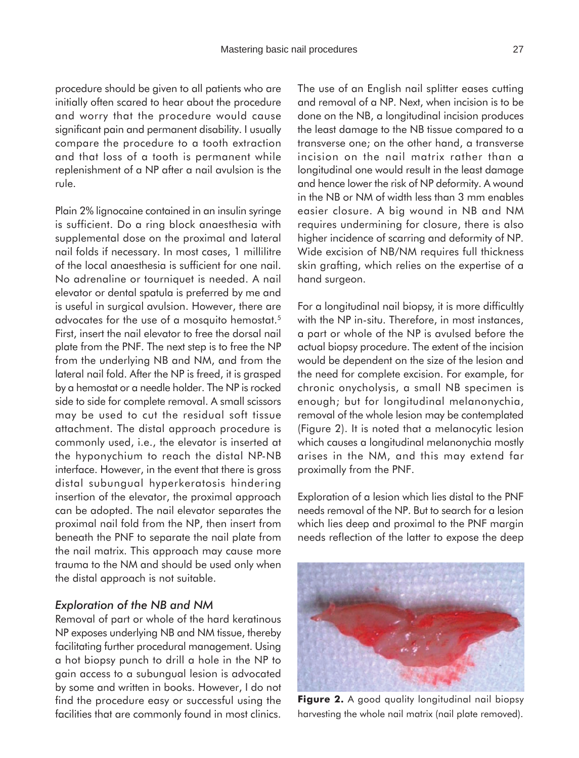procedure should be given to all patients who are initially often scared to hear about the procedure and worry that the procedure would cause significant pain and permanent disability. I usually compare the procedure to a tooth extraction and that loss of a tooth is permanent while replenishment of a NP after a nail avulsion is the rule.

Plain 2% lignocaine contained in an insulin syringe is sufficient. Do a ring block anaesthesia with supplemental dose on the proximal and lateral nail folds if necessary. In most cases, 1 millilitre of the local anaesthesia is sufficient for one nail. No adrenaline or tourniquet is needed. A nail elevator or dental spatula is preferred by me and is useful in surgical avulsion. However, there are advocates for the use of a mosquito hemostat.<sup>5</sup> First, insert the nail elevator to free the dorsal nail plate from the PNF. The next step is to free the NP from the underlying NB and NM, and from the lateral nail fold. After the NP is freed, it is grasped by a hemostat or a needle holder. The NP is rocked side to side for complete removal. A small scissors may be used to cut the residual soft tissue attachment. The distal approach procedure is commonly used, i.e., the elevator is inserted at the hyponychium to reach the distal NP-NB interface. However, in the event that there is gross distal subungual hyperkeratosis hindering insertion of the elevator, the proximal approach can be adopted. The nail elevator separates the proximal nail fold from the NP, then insert from beneath the PNF to separate the nail plate from the nail matrix. This approach may cause more trauma to the NM and should be used only when the distal approach is not suitable.

#### *Exploration of the NB and NM*

Removal of part or whole of the hard keratinous NP exposes underlying NB and NM tissue, thereby facilitating further procedural management. Using a hot biopsy punch to drill a hole in the NP to gain access to a subungual lesion is advocated by some and written in books. However, I do not find the procedure easy or successful using the facilities that are commonly found in most clinics.

The use of an English nail splitter eases cutting and removal of a NP. Next, when incision is to be done on the NB, a longitudinal incision produces the least damage to the NB tissue compared to a transverse one; on the other hand, a transverse incision on the nail matrix rather than a longitudinal one would result in the least damage and hence lower the risk of NP deformity. A wound in the NB or NM of width less than 3 mm enables easier closure. A big wound in NB and NM requires undermining for closure, there is also higher incidence of scarring and deformity of NP. Wide excision of NB/NM requires full thickness skin grafting, which relies on the expertise of a hand surgeon.

For a longitudinal nail biopsy, it is more difficultly with the NP in-situ. Therefore, in most instances, a part or whole of the NP is avulsed before the actual biopsy procedure. The extent of the incision would be dependent on the size of the lesion and the need for complete excision. For example, for chronic onycholysis, a small NB specimen is enough; but for longitudinal melanonychia, removal of the whole lesion may be contemplated (Figure 2). It is noted that a melanocytic lesion which causes a longitudinal melanonychia mostly arises in the NM, and this may extend far proximally from the PNF.

Exploration of a lesion which lies distal to the PNF needs removal of the NP. But to search for a lesion which lies deep and proximal to the PNF margin needs reflection of the latter to expose the deep



**Figure 2.** A good quality longitudinal nail biopsy harvesting the whole nail matrix (nail plate removed).